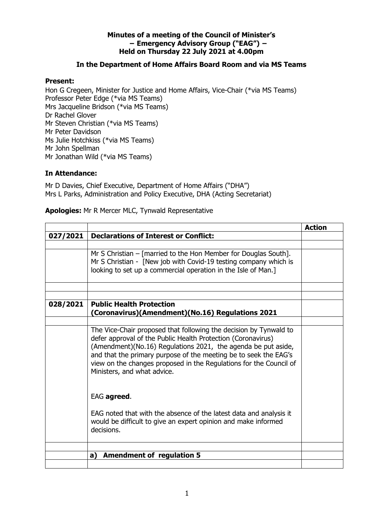## **Minutes of a meeting of the Council of Minister's − Emergency Advisory Group ("EAG") − Held on Thursday 22 July 2021 at 4.00pm**

## **In the Department of Home Affairs Board Room and via MS Teams**

## **Present:**

Hon G Cregeen, Minister for Justice and Home Affairs, Vice-Chair (\*via MS Teams) Professor Peter Edge (\*via MS Teams) Mrs Jacqueline Bridson (\*via MS Teams) Dr Rachel Glover Mr Steven Christian (\*via MS Teams) Mr Peter Davidson Ms Julie Hotchkiss (\*via MS Teams) Mr John Spellman Mr Jonathan Wild (\*via MS Teams)

## **In Attendance:**

Mr D Davies, Chief Executive, Department of Home Affairs ("DHA") Mrs L Parks, Administration and Policy Executive, DHA (Acting Secretariat)

**Apologies:** Mr R Mercer MLC, Tynwald Representative

|          |                                                                                                                                                                                                                                                                                                                                                                             | <b>Action</b> |
|----------|-----------------------------------------------------------------------------------------------------------------------------------------------------------------------------------------------------------------------------------------------------------------------------------------------------------------------------------------------------------------------------|---------------|
| 027/2021 | <b>Declarations of Interest or Conflict:</b>                                                                                                                                                                                                                                                                                                                                |               |
|          |                                                                                                                                                                                                                                                                                                                                                                             |               |
|          | Mr S Christian $-$ [married to the Hon Member for Douglas South].<br>Mr S Christian - [New job with Covid-19 testing company which is<br>looking to set up a commercial operation in the Isle of Man.]                                                                                                                                                                      |               |
| 028/2021 | <b>Public Health Protection</b><br>(Coronavirus)(Amendment)(No.16) Regulations 2021                                                                                                                                                                                                                                                                                         |               |
|          |                                                                                                                                                                                                                                                                                                                                                                             |               |
|          | The Vice-Chair proposed that following the decision by Tynwald to<br>defer approval of the Public Health Protection (Coronavirus)<br>(Amendment)(No.16) Regulations 2021, the agenda be put aside,<br>and that the primary purpose of the meeting be to seek the EAG's<br>view on the changes proposed in the Regulations for the Council of<br>Ministers, and what advice. |               |
|          | EAG agreed.                                                                                                                                                                                                                                                                                                                                                                 |               |
|          | EAG noted that with the absence of the latest data and analysis it<br>would be difficult to give an expert opinion and make informed<br>decisions.                                                                                                                                                                                                                          |               |
|          |                                                                                                                                                                                                                                                                                                                                                                             |               |
|          | <b>Amendment of regulation 5</b><br>a)                                                                                                                                                                                                                                                                                                                                      |               |
|          |                                                                                                                                                                                                                                                                                                                                                                             |               |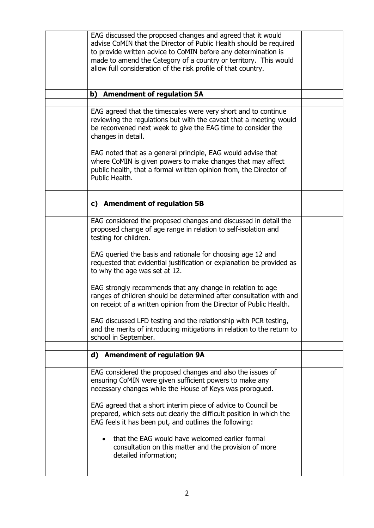| EAG discussed the proposed changes and agreed that it would<br>advise CoMIN that the Director of Public Health should be required<br>to provide written advice to CoMIN before any determination is<br>made to amend the Category of a country or territory. This would<br>allow full consideration of the risk profile of that country. |  |
|------------------------------------------------------------------------------------------------------------------------------------------------------------------------------------------------------------------------------------------------------------------------------------------------------------------------------------------|--|
| <b>Amendment of regulation 5A</b><br>b)                                                                                                                                                                                                                                                                                                  |  |
|                                                                                                                                                                                                                                                                                                                                          |  |
| EAG agreed that the timescales were very short and to continue<br>reviewing the regulations but with the caveat that a meeting would<br>be reconvened next week to give the EAG time to consider the<br>changes in detail.                                                                                                               |  |
| EAG noted that as a general principle, EAG would advise that<br>where CoMIN is given powers to make changes that may affect<br>public health, that a formal written opinion from, the Director of<br>Public Health.                                                                                                                      |  |
|                                                                                                                                                                                                                                                                                                                                          |  |
| c) Amendment of regulation 5B                                                                                                                                                                                                                                                                                                            |  |
|                                                                                                                                                                                                                                                                                                                                          |  |
| EAG considered the proposed changes and discussed in detail the<br>proposed change of age range in relation to self-isolation and<br>testing for children.<br>EAG queried the basis and rationale for choosing age 12 and                                                                                                                |  |
| requested that evidential justification or explanation be provided as<br>to why the age was set at 12.                                                                                                                                                                                                                                   |  |
| EAG strongly recommends that any change in relation to age<br>ranges of children should be determined after consultation with and<br>on receipt of a written opinion from the Director of Public Health.                                                                                                                                 |  |
| EAG discussed LFD testing and the relationship with PCR testing,<br>and the merits of introducing mitigations in relation to the return to<br>school in September.                                                                                                                                                                       |  |
|                                                                                                                                                                                                                                                                                                                                          |  |
| <b>Amendment of regulation 9A</b><br>d)                                                                                                                                                                                                                                                                                                  |  |
| EAG considered the proposed changes and also the issues of<br>ensuring CoMIN were given sufficient powers to make any<br>necessary changes while the House of Keys was prorogued.                                                                                                                                                        |  |
| EAG agreed that a short interim piece of advice to Council be<br>prepared, which sets out clearly the difficult position in which the<br>EAG feels it has been put, and outlines the following:                                                                                                                                          |  |
| that the EAG would have welcomed earlier formal<br>consultation on this matter and the provision of more<br>detailed information;                                                                                                                                                                                                        |  |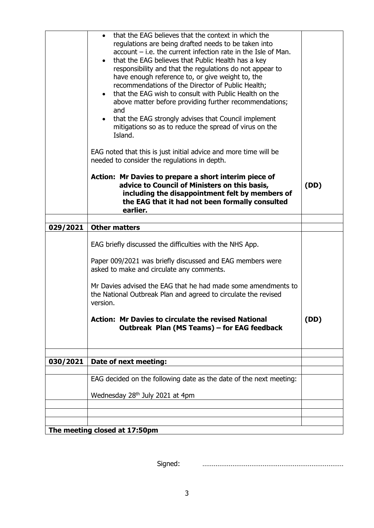|          | that the EAG believes that the context in which the<br>regulations are being drafted needs to be taken into<br>$account - i.e.$ the current infection rate in the Isle of Man.<br>• that the EAG believes that Public Health has a key<br>responsibility and that the regulations do not appear to<br>have enough reference to, or give weight to, the<br>recommendations of the Director of Public Health;<br>that the EAG wish to consult with Public Health on the<br>above matter before providing further recommendations;<br>and<br>that the EAG strongly advises that Council implement<br>mitigations so as to reduce the spread of virus on the<br>Island.<br>EAG noted that this is just initial advice and more time will be |      |
|----------|-----------------------------------------------------------------------------------------------------------------------------------------------------------------------------------------------------------------------------------------------------------------------------------------------------------------------------------------------------------------------------------------------------------------------------------------------------------------------------------------------------------------------------------------------------------------------------------------------------------------------------------------------------------------------------------------------------------------------------------------|------|
|          | needed to consider the regulations in depth.<br>Action: Mr Davies to prepare a short interim piece of<br>advice to Council of Ministers on this basis,<br>including the disappointment felt by members of<br>the EAG that it had not been formally consulted                                                                                                                                                                                                                                                                                                                                                                                                                                                                            | (DD) |
|          | earlier.                                                                                                                                                                                                                                                                                                                                                                                                                                                                                                                                                                                                                                                                                                                                |      |
| 029/2021 | <b>Other matters</b>                                                                                                                                                                                                                                                                                                                                                                                                                                                                                                                                                                                                                                                                                                                    |      |
|          | EAG briefly discussed the difficulties with the NHS App.<br>Paper 009/2021 was briefly discussed and EAG members were<br>asked to make and circulate any comments.<br>Mr Davies advised the EAG that he had made some amendments to<br>the National Outbreak Plan and agreed to circulate the revised<br>version.<br><b>Action: Mr Davies to circulate the revised National</b>                                                                                                                                                                                                                                                                                                                                                         | (DD) |
|          | Outbreak Plan (MS Teams) – for EAG feedback                                                                                                                                                                                                                                                                                                                                                                                                                                                                                                                                                                                                                                                                                             |      |
|          |                                                                                                                                                                                                                                                                                                                                                                                                                                                                                                                                                                                                                                                                                                                                         |      |
|          |                                                                                                                                                                                                                                                                                                                                                                                                                                                                                                                                                                                                                                                                                                                                         |      |
| 030/2021 | Date of next meeting:                                                                                                                                                                                                                                                                                                                                                                                                                                                                                                                                                                                                                                                                                                                   |      |
|          | EAG decided on the following date as the date of the next meeting:                                                                                                                                                                                                                                                                                                                                                                                                                                                                                                                                                                                                                                                                      |      |
|          |                                                                                                                                                                                                                                                                                                                                                                                                                                                                                                                                                                                                                                                                                                                                         |      |
|          | Wednesday 28 <sup>th</sup> July 2021 at 4pm                                                                                                                                                                                                                                                                                                                                                                                                                                                                                                                                                                                                                                                                                             |      |
|          |                                                                                                                                                                                                                                                                                                                                                                                                                                                                                                                                                                                                                                                                                                                                         |      |
|          |                                                                                                                                                                                                                                                                                                                                                                                                                                                                                                                                                                                                                                                                                                                                         |      |
|          | The meeting closed at 17:50pm                                                                                                                                                                                                                                                                                                                                                                                                                                                                                                                                                                                                                                                                                                           |      |

Signed: …………………………………………………………………